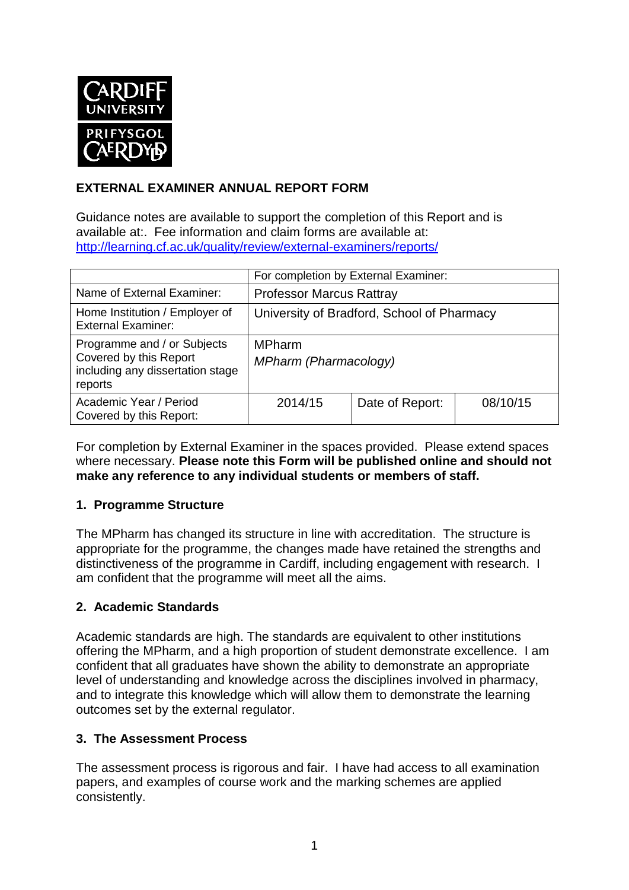

## **EXTERNAL EXAMINER ANNUAL REPORT FORM**

Guidance notes are available to support the completion of this Report and is available at:. Fee information and claim forms are available at: <http://learning.cf.ac.uk/quality/review/external-examiners/reports/>

|                                                                                                      | For completion by External Examiner:       |                 |          |  |
|------------------------------------------------------------------------------------------------------|--------------------------------------------|-----------------|----------|--|
| Name of External Examiner:                                                                           | <b>Professor Marcus Rattray</b>            |                 |          |  |
| Home Institution / Employer of<br><b>External Examiner:</b>                                          | University of Bradford, School of Pharmacy |                 |          |  |
| Programme and / or Subjects<br>Covered by this Report<br>including any dissertation stage<br>reports | <b>MPharm</b><br>MPharm (Pharmacology)     |                 |          |  |
| Academic Year / Period<br>Covered by this Report:                                                    | 2014/15                                    | Date of Report: | 08/10/15 |  |

For completion by External Examiner in the spaces provided. Please extend spaces where necessary. **Please note this Form will be published online and should not make any reference to any individual students or members of staff.**

## **1. Programme Structure**

The MPharm has changed its structure in line with accreditation. The structure is appropriate for the programme, the changes made have retained the strengths and distinctiveness of the programme in Cardiff, including engagement with research. I am confident that the programme will meet all the aims.

#### **2. Academic Standards**

Academic standards are high. The standards are equivalent to other institutions offering the MPharm, and a high proportion of student demonstrate excellence. I am confident that all graduates have shown the ability to demonstrate an appropriate level of understanding and knowledge across the disciplines involved in pharmacy, and to integrate this knowledge which will allow them to demonstrate the learning outcomes set by the external regulator.

#### **3. The Assessment Process**

The assessment process is rigorous and fair. I have had access to all examination papers, and examples of course work and the marking schemes are applied consistently.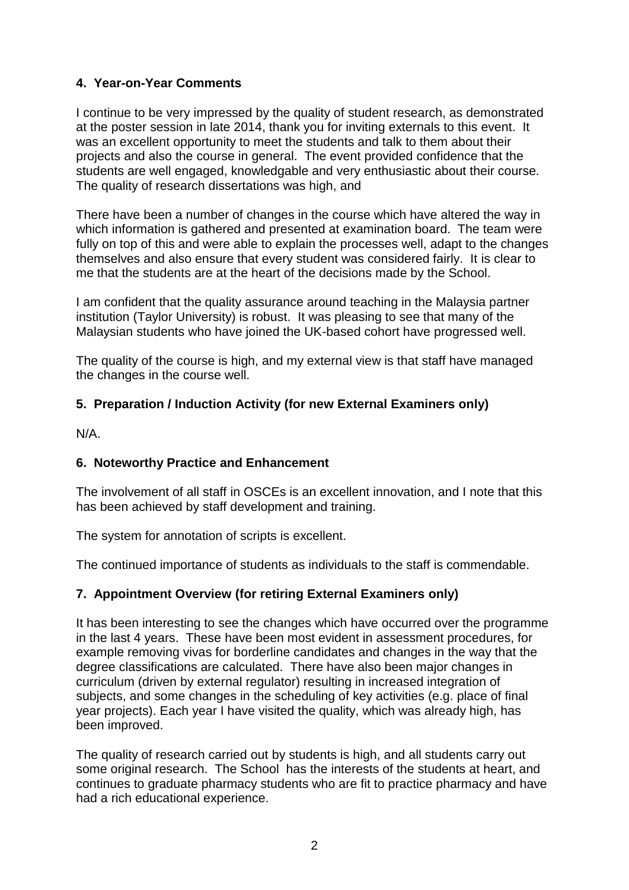## **4. Year-on-Year Comments**

I continue to be very impressed by the quality of student research, as demonstrated at the poster session in late 2014, thank you for inviting externals to this event. It was an excellent opportunity to meet the students and talk to them about their projects and also the course in general. The event provided confidence that the students are well engaged, knowledgable and very enthusiastic about their course. The quality of research dissertations was high, and

There have been a number of changes in the course which have altered the way in which information is gathered and presented at examination board. The team were fully on top of this and were able to explain the processes well, adapt to the changes themselves and also ensure that every student was considered fairly. It is clear to me that the students are at the heart of the decisions made by the School.

I am confident that the quality assurance around teaching in the Malaysia partner institution (Taylor University) is robust. It was pleasing to see that many of the Malaysian students who have joined the UK-based cohort have progressed well.

The quality of the course is high, and my external view is that staff have managed the changes in the course well.

## **5. Preparation / Induction Activity (for new External Examiners only)**

N/A.

## **6. Noteworthy Practice and Enhancement**

The involvement of all staff in OSCEs is an excellent innovation, and I note that this has been achieved by staff development and training.

The system for annotation of scripts is excellent.

The continued importance of students as individuals to the staff is commendable.

## **7. Appointment Overview (for retiring External Examiners only)**

It has been interesting to see the changes which have occurred over the programme in the last 4 years. These have been most evident in assessment procedures, for example removing vivas for borderline candidates and changes in the way that the degree classifications are calculated. There have also been major changes in curriculum (driven by external regulator) resulting in increased integration of subjects, and some changes in the scheduling of key activities (e.g. place of final year projects). Each year I have visited the quality, which was already high, has been improved.

The quality of research carried out by students is high, and all students carry out some original research. The School has the interests of the students at heart, and continues to graduate pharmacy students who are fit to practice pharmacy and have had a rich educational experience.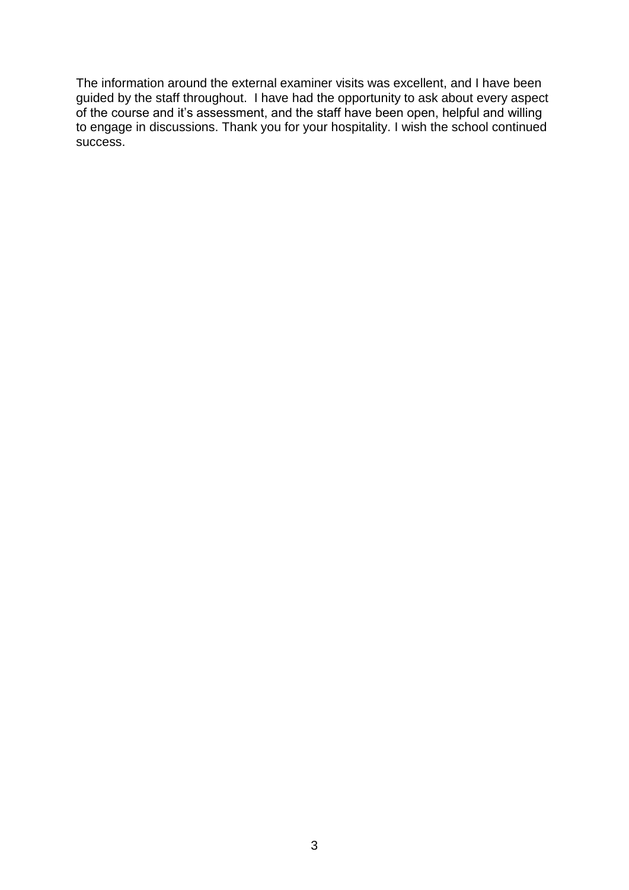The information around the external examiner visits was excellent, and I have been guided by the staff throughout. I have had the opportunity to ask about every aspect of the course and it's assessment, and the staff have been open, helpful and willing to engage in discussions. Thank you for your hospitality. I wish the school continued success.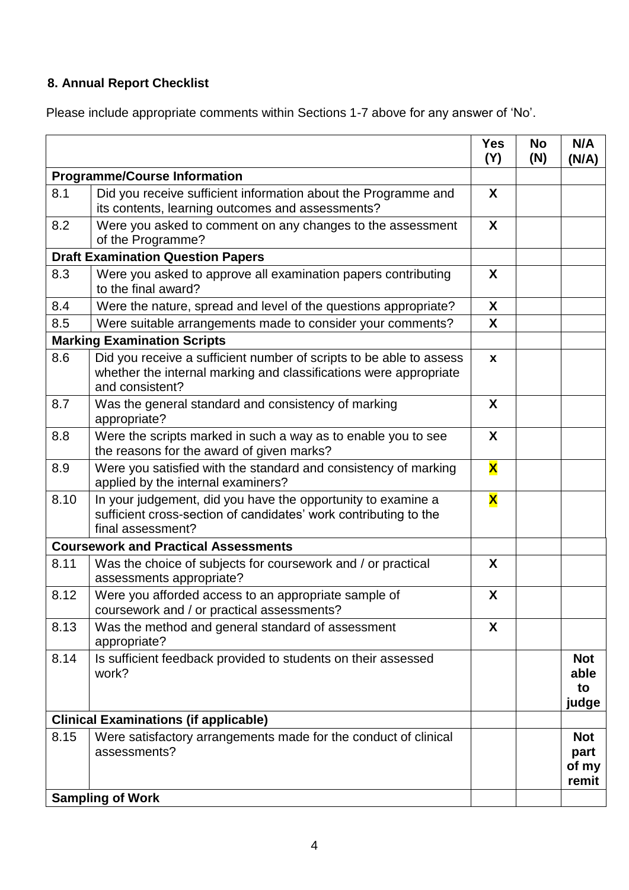# **8. Annual Report Checklist**

Please include appropriate comments within Sections 1-7 above for any answer of 'No'.

|                                              |                                                                                                                                                             | <b>Yes</b><br>(Y)       | <b>No</b><br>(N) | N/A<br>(N/A)                         |
|----------------------------------------------|-------------------------------------------------------------------------------------------------------------------------------------------------------------|-------------------------|------------------|--------------------------------------|
| <b>Programme/Course Information</b>          |                                                                                                                                                             |                         |                  |                                      |
| 8.1                                          | Did you receive sufficient information about the Programme and<br>its contents, learning outcomes and assessments?                                          | X                       |                  |                                      |
| 8.2                                          | Were you asked to comment on any changes to the assessment<br>of the Programme?                                                                             | X                       |                  |                                      |
| <b>Draft Examination Question Papers</b>     |                                                                                                                                                             |                         |                  |                                      |
| 8.3                                          | Were you asked to approve all examination papers contributing<br>to the final award?                                                                        | X                       |                  |                                      |
| 8.4                                          | Were the nature, spread and level of the questions appropriate?                                                                                             | X                       |                  |                                      |
| 8.5                                          | Were suitable arrangements made to consider your comments?                                                                                                  | X                       |                  |                                      |
|                                              | <b>Marking Examination Scripts</b>                                                                                                                          |                         |                  |                                      |
| 8.6                                          | Did you receive a sufficient number of scripts to be able to assess<br>whether the internal marking and classifications were appropriate<br>and consistent? | $\mathbf{x}$            |                  |                                      |
| 8.7                                          | Was the general standard and consistency of marking<br>appropriate?                                                                                         | X                       |                  |                                      |
| 8.8                                          | Were the scripts marked in such a way as to enable you to see<br>the reasons for the award of given marks?                                                  | X                       |                  |                                      |
| 8.9                                          | Were you satisfied with the standard and consistency of marking<br>applied by the internal examiners?                                                       | $\overline{\mathbf{X}}$ |                  |                                      |
| 8.10                                         | In your judgement, did you have the opportunity to examine a<br>sufficient cross-section of candidates' work contributing to the<br>final assessment?       | $\overline{\textbf{X}}$ |                  |                                      |
|                                              | <b>Coursework and Practical Assessments</b>                                                                                                                 |                         |                  |                                      |
| 8.11                                         | Was the choice of subjects for coursework and / or practical<br>assessments appropriate?                                                                    | X                       |                  |                                      |
| 8.12                                         | Were you afforded access to an appropriate sample of<br>coursework and / or practical assessments?                                                          | X                       |                  |                                      |
| 8.13                                         | Was the method and general standard of assessment<br>appropriate?                                                                                           | X                       |                  |                                      |
| 8.14                                         | Is sufficient feedback provided to students on their assessed<br>work?                                                                                      |                         |                  | <b>Not</b><br>able<br>to<br>judge    |
| <b>Clinical Examinations (if applicable)</b> |                                                                                                                                                             |                         |                  |                                      |
| 8.15                                         | Were satisfactory arrangements made for the conduct of clinical<br>assessments?                                                                             |                         |                  | <b>Not</b><br>part<br>of my<br>remit |
| <b>Sampling of Work</b>                      |                                                                                                                                                             |                         |                  |                                      |